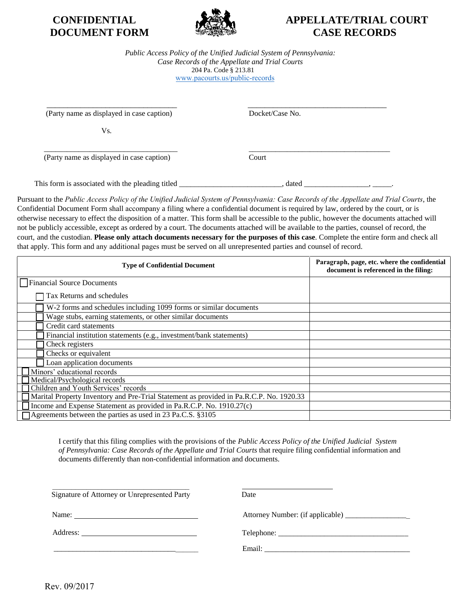

## **CONFIDENTIAL APPELLATE/TRIAL COURT DOCUMENT FORM SEE SEE ASSERED CASE RECORDS**

*Public Access Policy of the Unified Judicial System of Pennsylvania: Case Records of the Appellate and Trial Courts*  204 Pa. Code § 213.81 [www.pacourts.us/public-records](http://www.pacourts.us/public-record-policies)

 $\overline{\phantom{a}}$  , and the contract of the contract of the contract of the contract of the contract of the contract of the contract of the contract of the contract of the contract of the contract of the contract of the contrac (Party name as displayed in case caption) Docket/Case No.

Vs.

(Party name as displayed in case caption) Court

This form is associated with the pleading titled \_\_\_\_\_\_\_\_\_\_\_\_\_\_\_\_\_\_\_\_\_, dated \_\_\_\_\_\_\_\_\_\_\_\_\_\_, \_\_\_\_\_\_.

Pursuant to the *Public Access Policy of the Unified Judicial System of Pennsylvania: Case Records of the Appellate and Trial Courts*, the Confidential Document Form shall accompany a filing where a confidential document is required by law, ordered by the court, or is otherwise necessary to effect the disposition of a matter. This form shall be accessible to the public, however the documents attached will not be publicly accessible, except as ordered by a court. The documents attached will be available to the parties, counsel of record, the court, and the custodian. **Please only attach documents necessary for the purposes of this case**. Complete the entire form and check all that apply. This form and any additional pages must be served on all unrepresented parties and counsel of record.

 $\frac{1}{2}$  , and the set of the set of the set of the set of the set of the set of the set of the set of the set of the set of the set of the set of the set of the set of the set of the set of the set of the set of the set

| <b>Type of Confidential Document</b>                                                    | Paragraph, page, etc. where the confidential<br>document is referenced in the filing: |
|-----------------------------------------------------------------------------------------|---------------------------------------------------------------------------------------|
| Financial Source Documents                                                              |                                                                                       |
| Tax Returns and schedules                                                               |                                                                                       |
| W-2 forms and schedules including 1099 forms or similar documents                       |                                                                                       |
| Wage stubs, earning statements, or other similar documents                              |                                                                                       |
| Credit card statements                                                                  |                                                                                       |
| Financial institution statements (e.g., investment/bank statements)                     |                                                                                       |
| Check registers                                                                         |                                                                                       |
| Checks or equivalent                                                                    |                                                                                       |
| Loan application documents                                                              |                                                                                       |
| Minors' educational records                                                             |                                                                                       |
| Medical/Psychological records                                                           |                                                                                       |
| Children and Youth Services' records                                                    |                                                                                       |
| Marital Property Inventory and Pre-Trial Statement as provided in Pa.R.C.P. No. 1920.33 |                                                                                       |
| Income and Expense Statement as provided in Pa.R.C.P. No. 1910.27(c)                    |                                                                                       |
| Agreements between the parties as used in 23 Pa.C.S. §3105                              |                                                                                       |

I certify that this filing complies with the provisions of the *Public Access Policy of the Unified Judicial System of Pennsylvania: Case Records of the Appellate and Trial Courts* that require filing confidential information and documents differently than non-confidential information and documents.

| Signature of Attorney or Unrepresented Party |  | Date |
|----------------------------------------------|--|------|
|----------------------------------------------|--|------|

 $\_$  . The contribution of the contribution of  $\mathcal{L}_\mathcal{A}$ 

Name: Attorney Number: (if applicable) \_\_\_\_\_\_\_\_\_\_\_\_\_\_\_\_\_

Address: Telephone: \_\_\_\_\_\_\_\_\_\_\_\_\_\_\_\_\_\_\_\_\_\_\_\_\_\_\_\_\_\_\_\_\_\_

\_\_\_\_\_\_\_\_\_\_\_\_\_\_\_\_\_\_\_\_\_\_\_\_\_\_\_\_\_\_\_\_\_\_\_\_\_\_ Email: \_\_\_\_\_\_\_\_\_\_\_\_\_\_\_\_\_\_\_\_\_\_\_\_\_\_\_\_\_\_\_\_\_\_\_\_\_\_